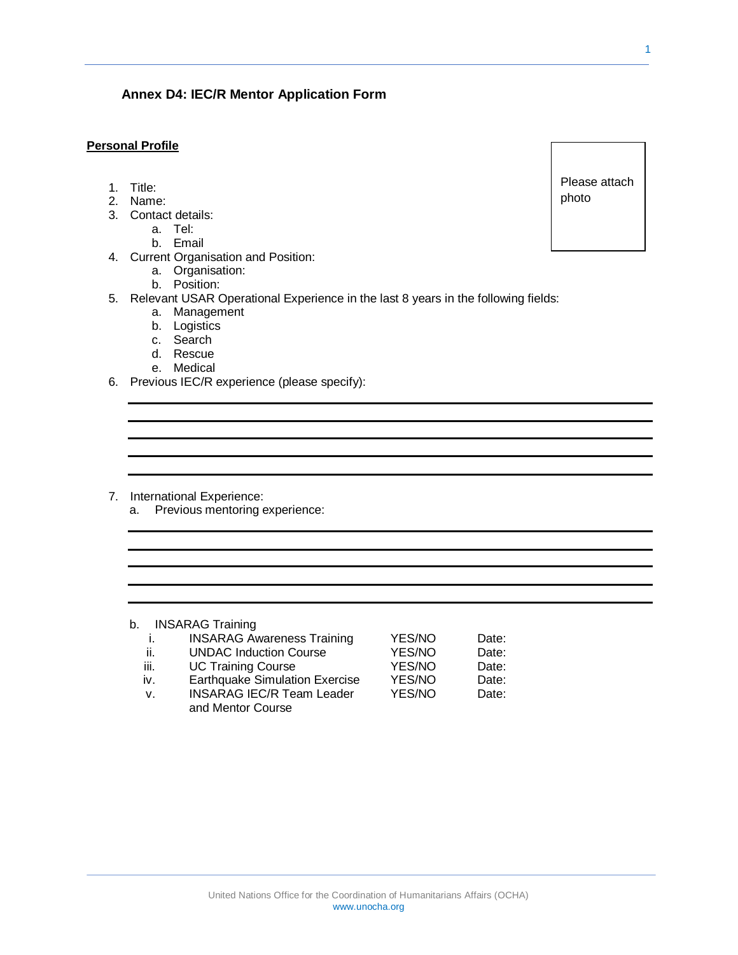# United Nations Office for the Coordination of Humanitarians Affairs (OCHA) www.unocha.org

### **Personal Profile**

- 1. Title:
- 2. Name:
- 3. Contact details:
	- a. Tel:
		- b. Email
- 4. Current Organisation and Position:
	- a. Organisation:
	- b. Position:
- 5. Relevant USAR Operational Experience in the last 8 years in the following fields:
	- a. Management
	- b. Logistics
	- c. Search
	- d. Rescue
	- e. Medical
- 6. Previous IEC/R experience (please specify):

**Annex D4: IEC/R Mentor Application Form**

- 7. International Experience:
	- a. Previous mentoring experience:

## b. INSARAG Training

| -1.         | <b>INSARAG Awareness Training</b>     | YES/NO | Date: |
|-------------|---------------------------------------|--------|-------|
| -ii.        | <b>UNDAC Induction Course</b>         | YES/NO | Date: |
| iii.        | <b>UC Training Course</b>             | YES/NO | Date: |
| iv.         | <b>Earthquake Simulation Exercise</b> | YES/NO | Date: |
| $V_{\cdot}$ | <b>INSARAG IEC/R Team Leader</b>      | YES/NO | Date: |
|             | and Mentor Course                     |        |       |

Please attach photo